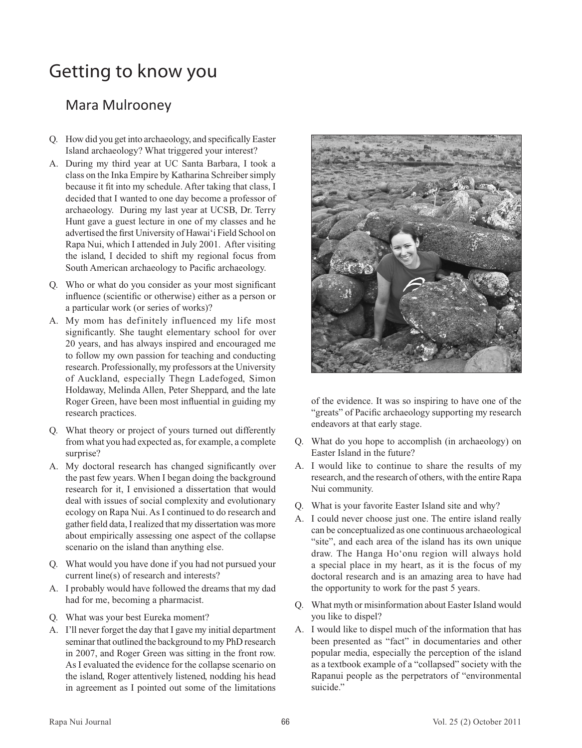## Getting to know you

## Mara Mulrooney

- Q. How did you get into archaeology, and specifically Easter Island archaeology? What triggered your interest?
- A. During my third year at UC Santa Barbara, I took a class on the Inka Empire by Katharina Schreiber simply because it fit into my schedule. After taking that class, I decided that I wanted to one day become a professor of archaeology. During my last year at UCSB, Dr. Terry Hunt gave a guest lecture in one of my classes and he advertised the first University of Hawai'i Field School on Rapa Nui, which I attended in July 2001. After visiting the island, I decided to shift my regional focus from South American archaeology to Pacific archaeology.
- Q. Who or what do you consider as your most significant influence (scientific or otherwise) either as a person or a particular work (or series of works)?
- A. My mom has definitely influenced my life most significantly. She taught elementary school for over 20 years, and has always inspired and encouraged me to follow my own passion for teaching and conducting research. Professionally, my professors at the University of Auckland, especially Thegn Ladefoged, Simon Holdaway, Melinda Allen, Peter Sheppard, and the late Roger Green, have been most influential in guiding my research practices.
- Q. What theory or project of yours turned out differently from what you had expected as, for example, a complete surprise?
- A. My doctoral research has changed significantly over the past few years. When I began doing the background research for it, I envisioned a dissertation that would deal with issues of social complexity and evolutionary ecology on Rapa Nui. As I continued to do research and gather field data, I realized that my dissertation was more about empirically assessing one aspect of the collapse scenario on the island than anything else.
- Q. What would you have done if you had not pursued your current line(s) of research and interests?
- A. I probably would have followed the dreams that my dad had for me, becoming a pharmacist.
- Q. What was your best Eureka moment?
- A. I'll never forget the day that I gave my initial department seminar that outlined the background to my PhD research in 2007, and Roger Green was sitting in the front row. As I evaluated the evidence for the collapse scenario on the island, Roger attentively listened, nodding his head in agreement as I pointed out some of the limitations



of the evidence. It was so inspiring to have one of the "greats" of Pacific archaeology supporting my research endeavors at that early stage.

- Q. What do you hope to accomplish (in archaeology) on Easter Island in the future?
- A. I would like to continue to share the results of my research, and the research of others, with the entire Rapa Nui community.
- Q. What is your favorite Easter Island site and why?
- A. I could never choose just one. The entire island really can be conceptualized as one continuous archaeological "site", and each area of the island has its own unique draw. The Hanga Ho'onu region will always hold a special place in my heart, as it is the focus of my doctoral research and is an amazing area to have had the opportunity to work for the past 5 years.
- Q. What myth or misinformation about Easter Island would you like to dispel?
- A. I would like to dispel much of the information that has been presented as "fact" in documentaries and other popular media, especially the perception of the island as a textbook example of a "collapsed" society with the Rapanui people as the perpetrators of "environmental suicide."